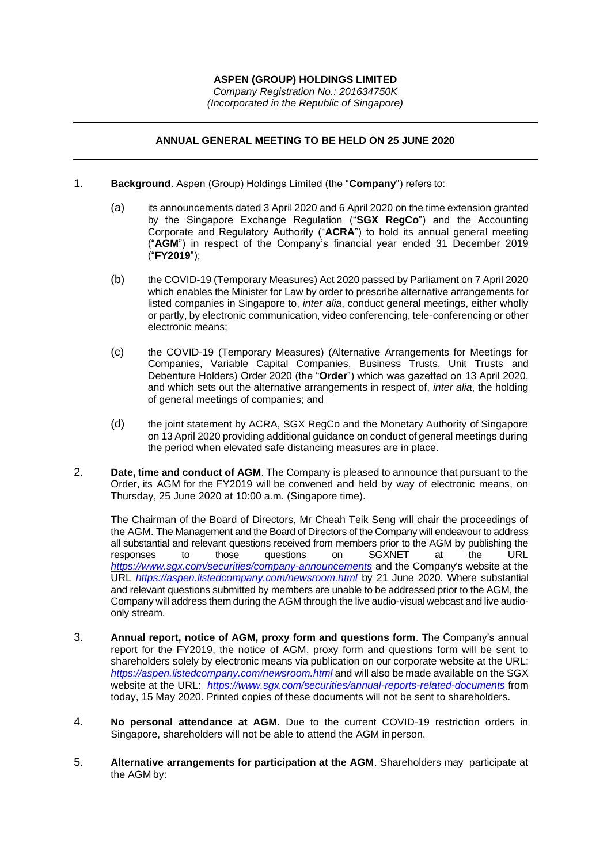*(Incorporated in the Republic of Singapore)*

## **ANNUAL GENERAL MEETING TO BE HELD ON 25 JUNE 2020**

- 1. **Background**. Aspen (Group) Holdings Limited (the "**Company**") refers to:
	- (a) its announcements dated 3 April 2020 and 6 April 2020 on the time extension granted by the Singapore Exchange Regulation ("**SGX RegCo**") and the Accounting Corporate and Regulatory Authority ("**ACRA**") to hold its annual general meeting ("**AGM**") in respect of the Company's financial year ended 31 December 2019 ("**FY2019**");
	- (b) the COVID-19 (Temporary Measures) Act 2020 passed by Parliament on 7 April 2020 which enables the Minister for Law by order to prescribe alternative arrangements for listed companies in Singapore to, *inter alia*, conduct general meetings, either wholly or partly, by electronic communication, video conferencing, tele-conferencing or other electronic means;
	- (c) the COVID-19 (Temporary Measures) (Alternative Arrangements for Meetings for Companies, Variable Capital Companies, Business Trusts, Unit Trusts and Debenture Holders) Order 2020 (the "**Order**") which was gazetted on 13 April 2020, and which sets out the alternative arrangements in respect of, *inter alia*, the holding of general meetings of companies; and
	- (d) the joint statement by ACRA, SGX RegCo and the Monetary Authority of Singapore on 13 April 2020 providing additional guidance on conduct of general meetings during the period when elevated safe distancing measures are in place.
- 2. **Date, time and conduct of AGM**. The Company is pleased to announce that pursuant to the Order, its AGM for the FY2019 will be convened and held by way of electronic means, on Thursday, 25 June 2020 at 10:00 a.m. (Singapore time).

The Chairman of the Board of Directors, Mr Cheah Teik Seng will chair the proceedings of the AGM. The Management and the Board of Directors of the Company will endeavour to address all substantial and relevant questions received from members prior to the AGM by publishing the responses to those questions on SGXNET at the URL *<https://www.sgx.com/securities/company-announcements>* and the Company's website at the URL *<https://aspen.listedcompany.com/newsroom.html>* by 21 June 2020. Where substantial and relevant questions submitted by members are unable to be addressed prior to the AGM, the Company will address them during the AGM through the live audio-visual webcast and live audioonly stream.

- 3. **Annual report, notice of AGM, proxy form and questions form**. The Company's annual report for the FY2019, the notice of AGM, proxy form and questions form will be sent to shareholders solely by electronic means via publication on our corporate website at the URL: *<https://aspen.listedcompany.com/newsroom.html>* and will also be made available on the SGX website at the URL: *<https://www.sgx.com/securities/annual-reports-related-documents>* from today, 15 May 2020. Printed copies of these documents will not be sent to shareholders.
- 4. **No personal attendance at AGM.** Due to the current COVID-19 restriction orders in Singapore, shareholders will not be able to attend the AGM inperson.
- 5. **Alternative arrangements for participation at the AGM**. Shareholders may participate at the AGM by: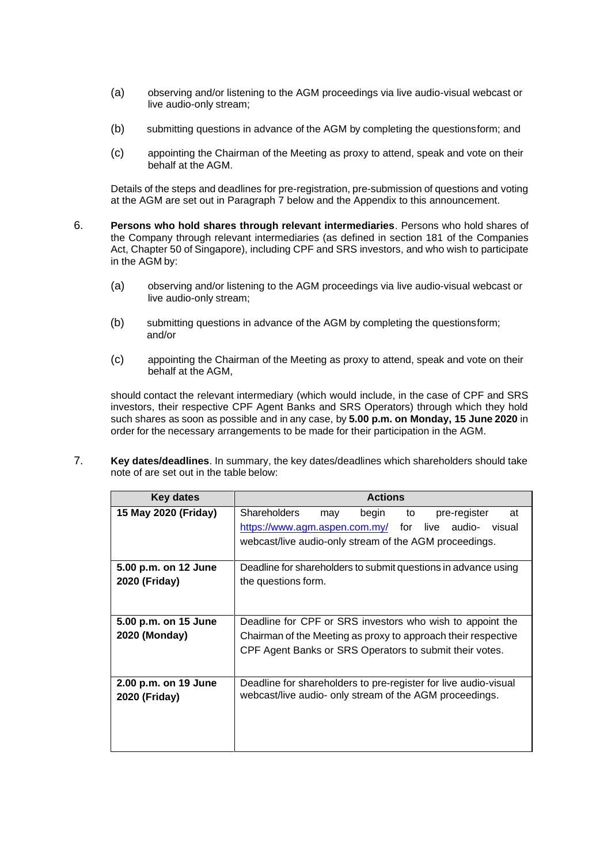- (a) observing and/or listening to the AGM proceedings via live audio-visual webcast or live audio-only stream;
- (b) submitting questions in advance of the AGM by completing the questionsform; and
- (c) appointing the Chairman of the Meeting as proxy to attend, speak and vote on their behalf at the AGM.

Details of the steps and deadlines for pre-registration, pre-submission of questions and voting at the AGM are set out in Paragraph 7 below and the Appendix to this announcement.

- 6. **Persons who hold shares through relevant intermediaries**. Persons who hold shares of the Company through relevant intermediaries (as defined in section 181 of the Companies Act, Chapter 50 of Singapore), including CPF and SRS investors, and who wish to participate in the AGM by:
	- (a) observing and/or listening to the AGM proceedings via live audio-visual webcast or live audio-only stream;
	- (b) submitting questions in advance of the AGM by completing the questionsform; and/or
	- (c) appointing the Chairman of the Meeting as proxy to attend, speak and vote on their behalf at the AGM,

should contact the relevant intermediary (which would include, in the case of CPF and SRS investors, their respective CPF Agent Banks and SRS Operators) through which they hold such shares as soon as possible and in any case, by **5.00 p.m. on Monday, 15 June 2020** in order for the necessary arrangements to be made for their participation in the AGM.

7. **Key dates/deadlines**. In summary, the key dates/deadlines which shareholders should take note of are set out in the table below:

| Key dates            | <b>Actions</b>                                                   |
|----------------------|------------------------------------------------------------------|
| 15 May 2020 (Friday) | <b>Shareholders</b><br>begin<br>to<br>pre-register<br>at<br>may  |
|                      | https://www.agm.aspen.com.my/<br>for<br>live<br>audio-<br>visual |
|                      | webcast/live audio-only stream of the AGM proceedings.           |
| 5.00 p.m. on 12 June | Deadline for shareholders to submit questions in advance using   |
| 2020 (Friday)        | the questions form.                                              |
|                      |                                                                  |
| 5.00 p.m. on 15 June | Deadline for CPF or SRS investors who wish to appoint the        |
| 2020 (Monday)        | Chairman of the Meeting as proxy to approach their respective    |
|                      | CPF Agent Banks or SRS Operators to submit their votes.          |
|                      |                                                                  |
| 2.00 p.m. on 19 June | Deadline for shareholders to pre-register for live audio-visual  |
| 2020 (Friday)        | webcast/live audio- only stream of the AGM proceedings.          |
|                      |                                                                  |
|                      |                                                                  |
|                      |                                                                  |